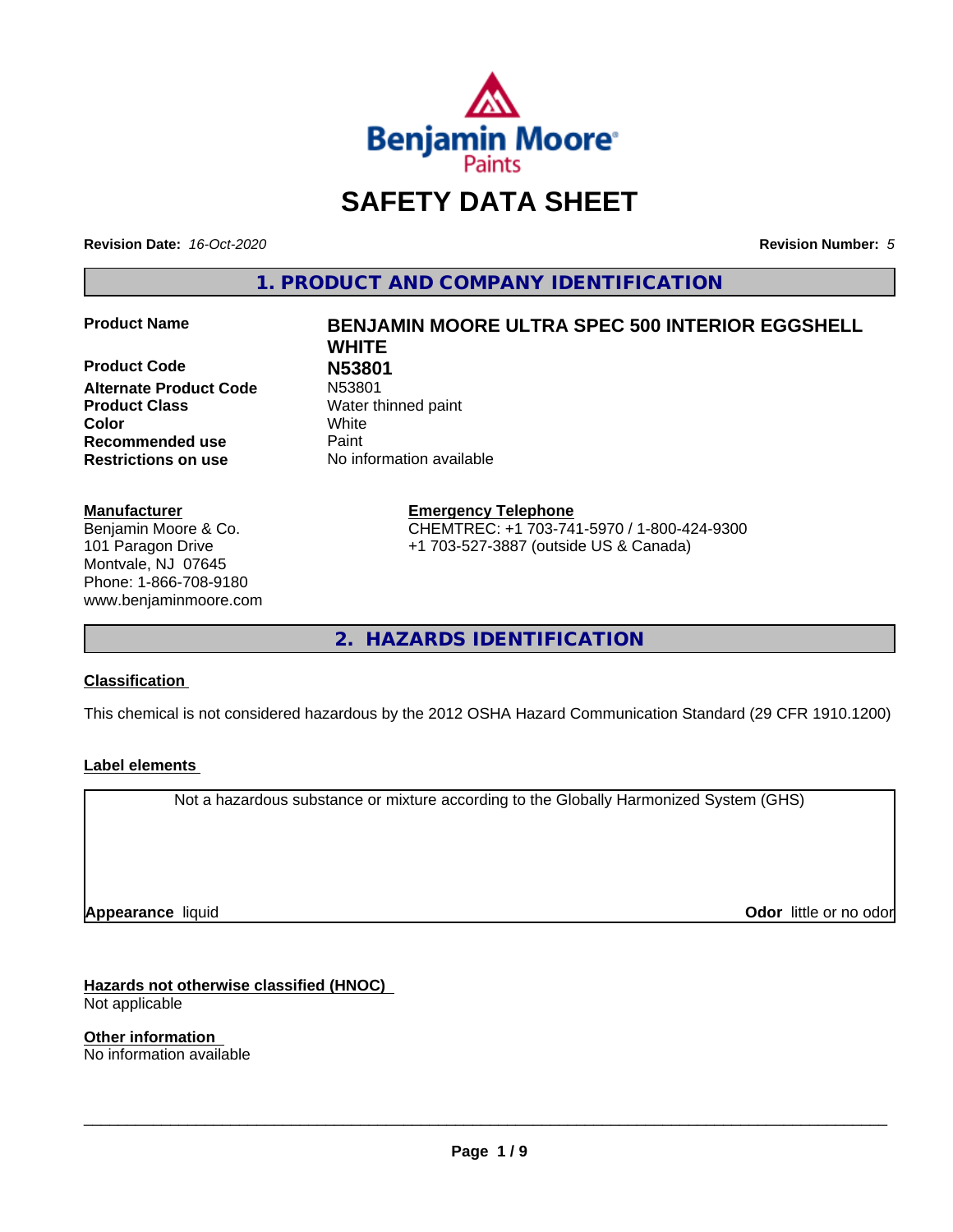

# **SAFETY DATA SHEET**

**Revision Date:** *16-Oct-2020* **Revision Number:** *5*

**1. PRODUCT AND COMPANY IDENTIFICATION**

**Product Code N53801 Alternate Product Code Product Class** Water thinned paint **Color** White **Recommended use Caint Restrictions on use** No information available

#### **Manufacturer**

Benjamin Moore & Co. 101 Paragon Drive Montvale, NJ 07645 Phone: 1-866-708-9180 www.benjaminmoore.com

# **Product Name BENJAMIN MOORE ULTRA SPEC 500 INTERIOR EGGSHELL WHITE**

**Emergency Telephone** CHEMTREC: +1 703-741-5970 / 1-800-424-9300 +1 703-527-3887 (outside US & Canada)

**2. HAZARDS IDENTIFICATION**

#### **Classification**

This chemical is not considered hazardous by the 2012 OSHA Hazard Communication Standard (29 CFR 1910.1200)

#### **Label elements**

Not a hazardous substance or mixture according to the Globally Harmonized System (GHS)

**Appearance** liquid

**Odor** little or no odor

**Hazards not otherwise classified (HNOC)** Not applicable

**Other information** No information available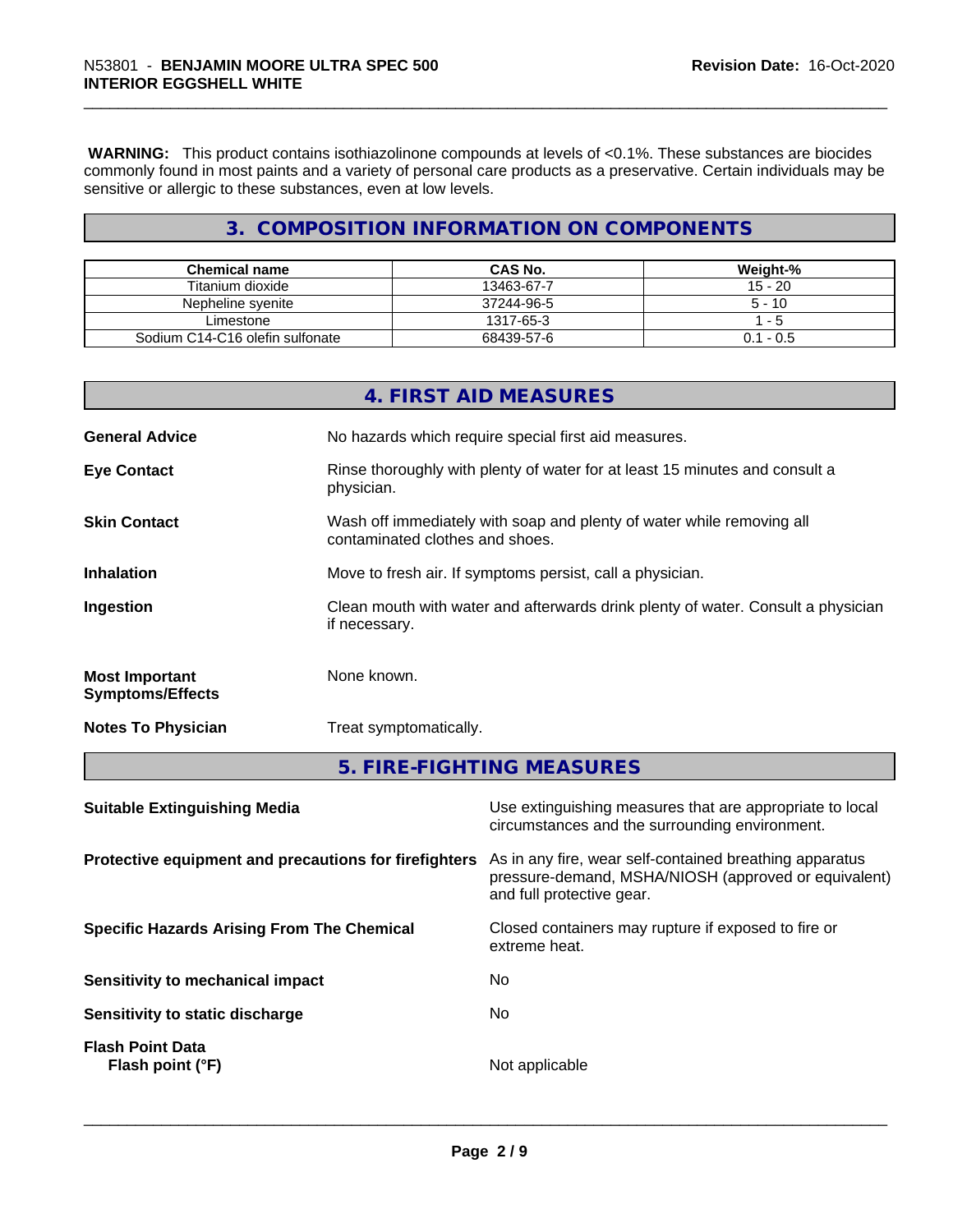**WARNING:** This product contains isothiazolinone compounds at levels of <0.1%. These substances are biocides commonly found in most paints and a variety of personal care products as a preservative. Certain individuals may be sensitive or allergic to these substances, even at low levels.

## **3. COMPOSITION INFORMATION ON COMPONENTS**

| <b>Chemical name</b>            | <b>CAS No.</b> | Weight-%    |
|---------------------------------|----------------|-------------|
| Titanium dioxide                | 13463-67-7     | $15 - 20$   |
| Nepheline svenite               | 37244-96-5     | $5 - 10$    |
| Limestone                       | 1317-65-3      | - 5         |
| Sodium C14-C16 olefin sulfonate | 68439-57-6     | $0.1 - 0.5$ |

| 4. FIRST AID MEASURES                                                                                    |
|----------------------------------------------------------------------------------------------------------|
| No hazards which require special first aid measures.                                                     |
| Rinse thoroughly with plenty of water for at least 15 minutes and consult a<br>physician.                |
| Wash off immediately with soap and plenty of water while removing all<br>contaminated clothes and shoes. |
| Move to fresh air. If symptoms persist, call a physician.                                                |
| Clean mouth with water and afterwards drink plenty of water. Consult a physician<br>if necessary.        |
| None known.                                                                                              |
| Treat symptomatically.                                                                                   |
| 5. FIRE-FIGHTING MEASURES                                                                                |
|                                                                                                          |

| Use extinguishing measures that are appropriate to local<br>circumstances and the surrounding environment.                                   |
|----------------------------------------------------------------------------------------------------------------------------------------------|
| As in any fire, wear self-contained breathing apparatus<br>pressure-demand, MSHA/NIOSH (approved or equivalent)<br>and full protective gear. |
| Closed containers may rupture if exposed to fire or<br>extreme heat.                                                                         |
| No.                                                                                                                                          |
| No.                                                                                                                                          |
| Not applicable                                                                                                                               |
|                                                                                                                                              |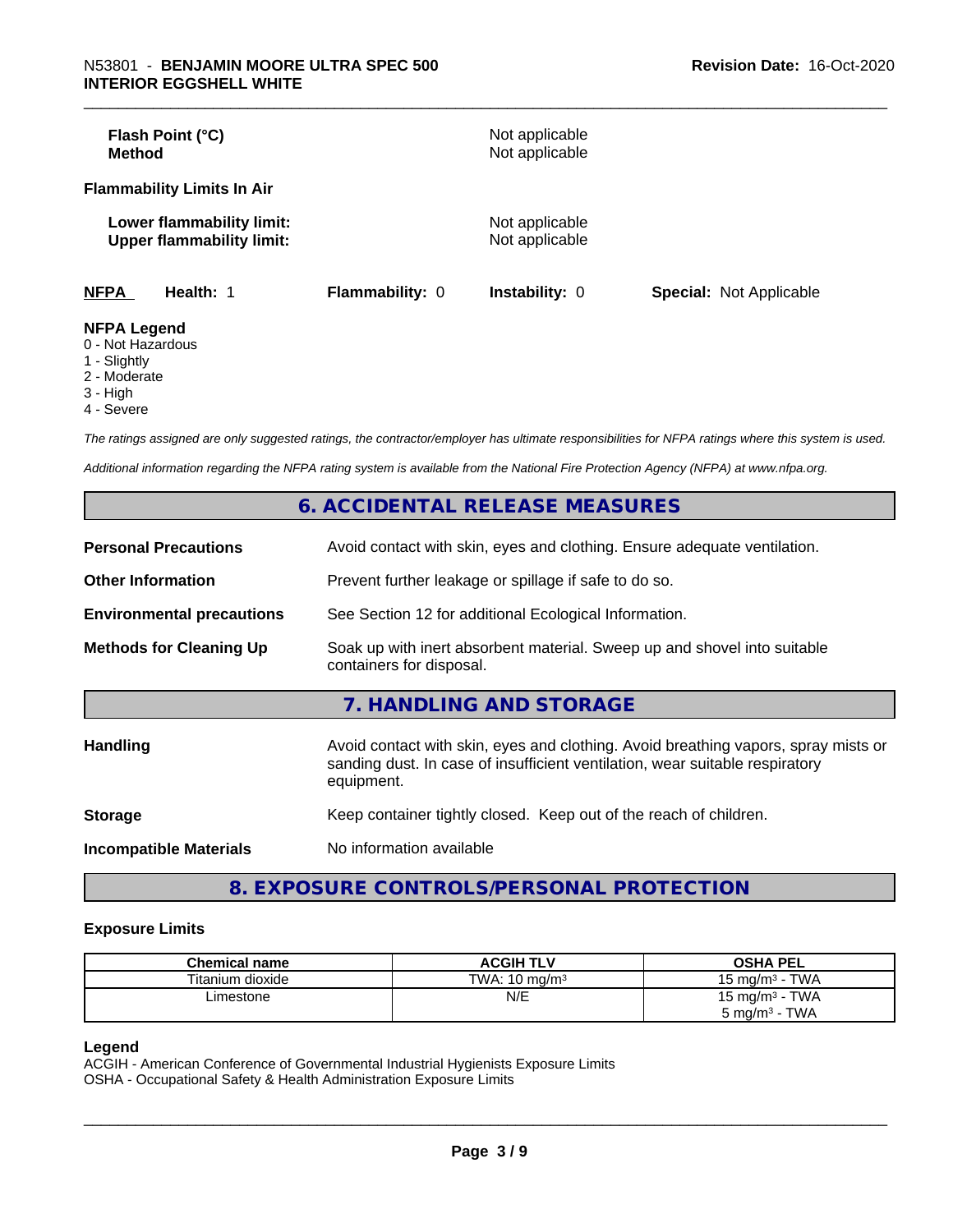| Flash Point (°C)<br><b>Method</b>                             |                 | Not applicable<br>Not applicable |                                |
|---------------------------------------------------------------|-----------------|----------------------------------|--------------------------------|
| <b>Flammability Limits In Air</b>                             |                 |                                  |                                |
| Lower flammability limit:<br><b>Upper flammability limit:</b> |                 | Not applicable<br>Not applicable |                                |
| <b>NFPA</b><br>Health: 1                                      | Flammability: 0 | <b>Instability: 0</b>            | <b>Special: Not Applicable</b> |
| <b>NFPA Legend</b><br>$\bigcap$ blat line and are             |                 |                                  |                                |

- 0 Not Hazardous
- 1 Slightly
- 2 Moderate
- 3 High
- 4 Severe

*The ratings assigned are only suggested ratings, the contractor/employer has ultimate responsibilities for NFPA ratings where this system is used.*

*Additional information regarding the NFPA rating system is available from the National Fire Protection Agency (NFPA) at www.nfpa.org.*

|                                                                                                                                        | 6. ACCIDENTAL RELEASE MEASURES                                                                                                                                                   |  |  |
|----------------------------------------------------------------------------------------------------------------------------------------|----------------------------------------------------------------------------------------------------------------------------------------------------------------------------------|--|--|
| <b>Personal Precautions</b>                                                                                                            | Avoid contact with skin, eyes and clothing. Ensure adequate ventilation.                                                                                                         |  |  |
| <b>Other Information</b>                                                                                                               | Prevent further leakage or spillage if safe to do so.                                                                                                                            |  |  |
| <b>Environmental precautions</b>                                                                                                       | See Section 12 for additional Ecological Information.                                                                                                                            |  |  |
| Soak up with inert absorbent material. Sweep up and shovel into suitable<br><b>Methods for Cleaning Up</b><br>containers for disposal. |                                                                                                                                                                                  |  |  |
|                                                                                                                                        | 7. HANDLING AND STORAGE                                                                                                                                                          |  |  |
| <b>Handling</b>                                                                                                                        | Avoid contact with skin, eyes and clothing. Avoid breathing vapors, spray mists or<br>sanding dust. In case of insufficient ventilation, wear suitable respiratory<br>equipment. |  |  |
| <b>Storage</b>                                                                                                                         | Keep container tightly closed. Keep out of the reach of children.                                                                                                                |  |  |
| Incompatible Materials                                                                                                                 | No information available                                                                                                                                                         |  |  |
|                                                                                                                                        |                                                                                                                                                                                  |  |  |

**8. EXPOSURE CONTROLS/PERSONAL PROTECTION**

#### **Exposure Limits**

| <b>Chemical name</b> | <b>ACGIH TLV</b>         | <b>OSHA PEL</b>            |
|----------------------|--------------------------|----------------------------|
| Titanium dioxide     | TWA: $10 \text{ ma/m}^3$ | 15 mg/m $3$ - TWA          |
| ∟imestone            | N/E                      | 15 mg/m <sup>3</sup> - TWA |
|                      |                          | $5 \text{ mg/m}^3$ - TWA   |

#### **Legend**

ACGIH - American Conference of Governmental Industrial Hygienists Exposure Limits OSHA - Occupational Safety & Health Administration Exposure Limits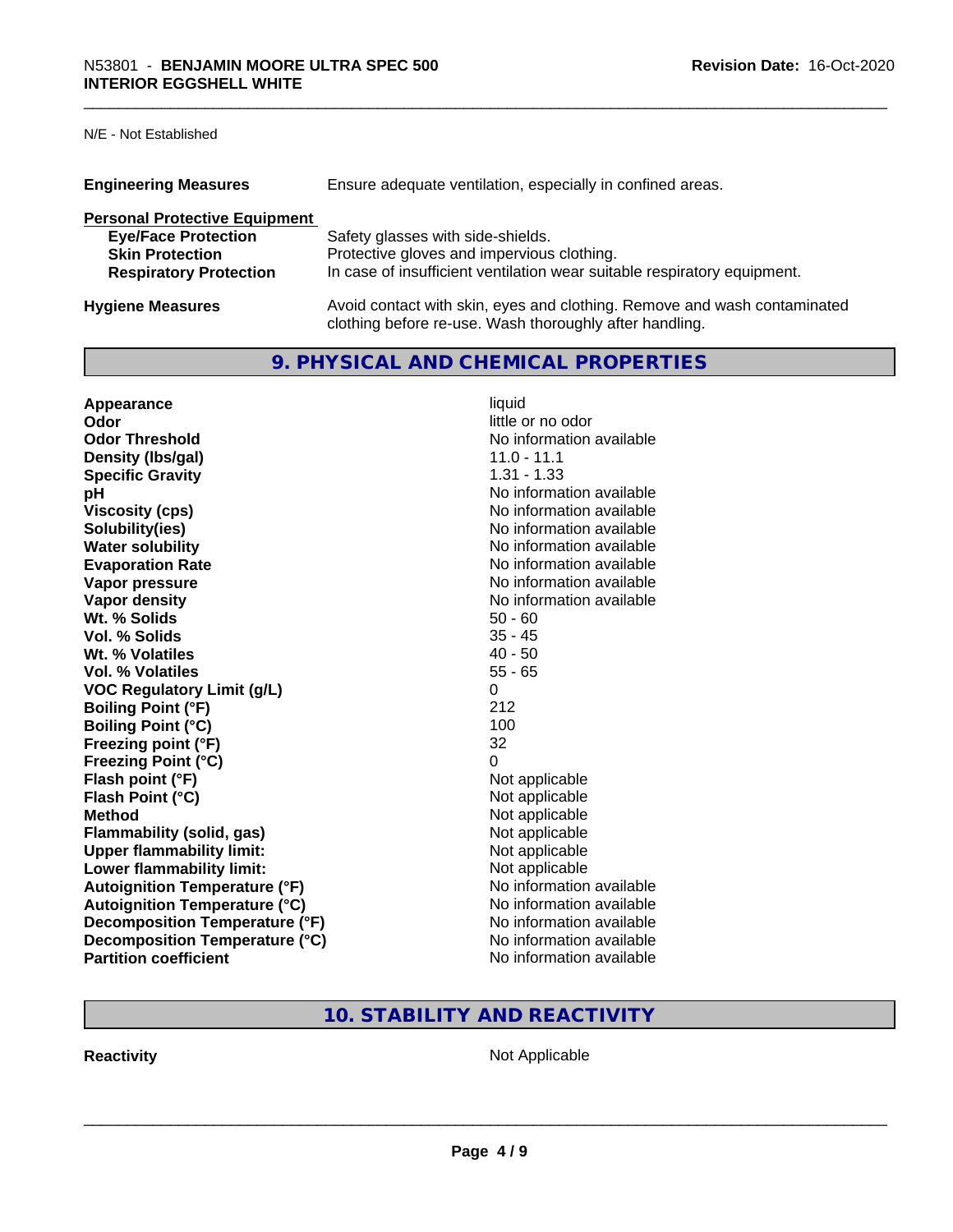#### N/E - Not Established

| <b>Engineering Measures</b><br>Ensure adequate ventilation, especially in confined areas. |                                                                                                                                     |  |  |
|-------------------------------------------------------------------------------------------|-------------------------------------------------------------------------------------------------------------------------------------|--|--|
| <b>Personal Protective Equipment</b>                                                      |                                                                                                                                     |  |  |
| <b>Eye/Face Protection</b>                                                                | Safety glasses with side-shields.                                                                                                   |  |  |
| <b>Skin Protection</b>                                                                    | Protective gloves and impervious clothing.                                                                                          |  |  |
| <b>Respiratory Protection</b>                                                             | In case of insufficient ventilation wear suitable respiratory equipment.                                                            |  |  |
| <b>Hygiene Measures</b>                                                                   | Avoid contact with skin, eyes and clothing. Remove and wash contaminated<br>clothing before re-use. Wash thoroughly after handling. |  |  |

# **9. PHYSICAL AND CHEMICAL PROPERTIES**

| Appearance                           | liquid                   |
|--------------------------------------|--------------------------|
| Odor                                 | little or no odor        |
| <b>Odor Threshold</b>                | No information available |
| Density (Ibs/gal)                    | $11.0 - 11.1$            |
| <b>Specific Gravity</b>              | $1.31 - 1.33$            |
| рH                                   | No information available |
| <b>Viscosity (cps)</b>               | No information available |
| Solubility(ies)                      | No information available |
| <b>Water solubility</b>              | No information available |
| <b>Evaporation Rate</b>              | No information available |
| Vapor pressure                       | No information available |
| Vapor density                        | No information available |
| Wt. % Solids                         | $50 - 60$                |
| Vol. % Solids                        | $35 - 45$                |
| Wt. % Volatiles                      | $40 - 50$                |
| <b>Vol. % Volatiles</b>              | $55 - 65$                |
| <b>VOC Regulatory Limit (g/L)</b>    | 0                        |
| <b>Boiling Point (°F)</b>            | 212                      |
| <b>Boiling Point (°C)</b>            | 100                      |
| Freezing point (°F)                  | 32                       |
| <b>Freezing Point (°C)</b>           | 0                        |
| Flash point (°F)                     | Not applicable           |
| Flash Point (°C)                     | Not applicable           |
| <b>Method</b>                        | Not applicable           |
| <b>Flammability (solid, gas)</b>     | Not applicable           |
| <b>Upper flammability limit:</b>     | Not applicable           |
| Lower flammability limit:            | Not applicable           |
| <b>Autoignition Temperature (°F)</b> | No information available |
| <b>Autoignition Temperature (°C)</b> | No information available |
| Decomposition Temperature (°F)       | No information available |
| Decomposition Temperature (°C)       | No information available |
| <b>Partition coefficient</b>         | No information available |

# **10. STABILITY AND REACTIVITY**

**Reactivity Not Applicable** Not Applicable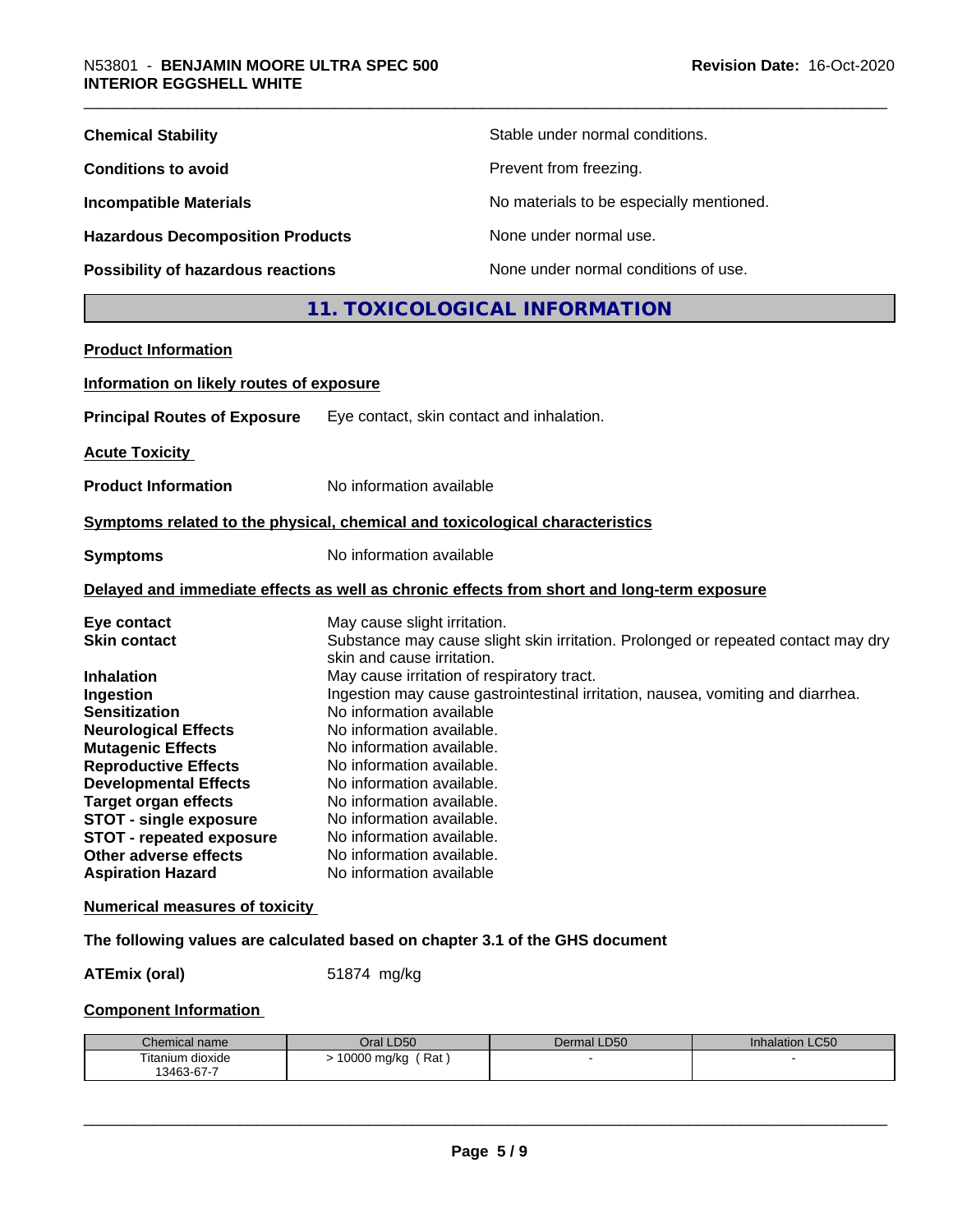| <b>Chemical Stability</b>               | Stable under normal conditions.          |
|-----------------------------------------|------------------------------------------|
| <b>Conditions to avoid</b>              | Prevent from freezing.                   |
| <b>Incompatible Materials</b>           | No materials to be especially mentioned. |
| <b>Hazardous Decomposition Products</b> | None under normal use.                   |
| Possibility of hazardous reactions      | None under normal conditions of use.     |

# **11. TOXICOLOGICAL INFORMATION**

| <b>Product Information</b>                                                                                                                                                                                                                                                                                                                                                     |                                                                                                                                                                                                                                                                                                                                                                                                                                                                                                                                                                                  |
|--------------------------------------------------------------------------------------------------------------------------------------------------------------------------------------------------------------------------------------------------------------------------------------------------------------------------------------------------------------------------------|----------------------------------------------------------------------------------------------------------------------------------------------------------------------------------------------------------------------------------------------------------------------------------------------------------------------------------------------------------------------------------------------------------------------------------------------------------------------------------------------------------------------------------------------------------------------------------|
| Information on likely routes of exposure                                                                                                                                                                                                                                                                                                                                       |                                                                                                                                                                                                                                                                                                                                                                                                                                                                                                                                                                                  |
| <b>Principal Routes of Exposure</b>                                                                                                                                                                                                                                                                                                                                            | Eye contact, skin contact and inhalation.                                                                                                                                                                                                                                                                                                                                                                                                                                                                                                                                        |
| <b>Acute Toxicity</b>                                                                                                                                                                                                                                                                                                                                                          |                                                                                                                                                                                                                                                                                                                                                                                                                                                                                                                                                                                  |
| <b>Product Information</b>                                                                                                                                                                                                                                                                                                                                                     | No information available                                                                                                                                                                                                                                                                                                                                                                                                                                                                                                                                                         |
|                                                                                                                                                                                                                                                                                                                                                                                | Symptoms related to the physical, chemical and toxicological characteristics                                                                                                                                                                                                                                                                                                                                                                                                                                                                                                     |
| <b>Symptoms</b>                                                                                                                                                                                                                                                                                                                                                                | No information available                                                                                                                                                                                                                                                                                                                                                                                                                                                                                                                                                         |
|                                                                                                                                                                                                                                                                                                                                                                                | Delayed and immediate effects as well as chronic effects from short and long-term exposure                                                                                                                                                                                                                                                                                                                                                                                                                                                                                       |
| Eye contact<br><b>Skin contact</b><br><b>Inhalation</b><br>Ingestion<br><b>Sensitization</b><br><b>Neurological Effects</b><br><b>Mutagenic Effects</b><br><b>Reproductive Effects</b><br><b>Developmental Effects</b><br><b>Target organ effects</b><br><b>STOT - single exposure</b><br><b>STOT - repeated exposure</b><br>Other adverse effects<br><b>Aspiration Hazard</b> | May cause slight irritation.<br>Substance may cause slight skin irritation. Prolonged or repeated contact may dry<br>skin and cause irritation.<br>May cause irritation of respiratory tract.<br>Ingestion may cause gastrointestinal irritation, nausea, vomiting and diarrhea.<br>No information available<br>No information available.<br>No information available.<br>No information available.<br>No information available.<br>No information available.<br>No information available.<br>No information available.<br>No information available.<br>No information available |
| <b>Numerical measures of toxicity</b>                                                                                                                                                                                                                                                                                                                                          |                                                                                                                                                                                                                                                                                                                                                                                                                                                                                                                                                                                  |

**The following values are calculated based on chapter 3.1 of the GHS document**

**ATEmix (oral)** 51874 mg/kg

#### **Component Information**

| Chemical name    | Oral LD50          | Dermal LD50 | <b>Inhalation LC50</b> |
|------------------|--------------------|-------------|------------------------|
| Titanium dioxide | Rat<br>10000 mg/kg |             |                        |
| 13463-67-7       |                    |             |                        |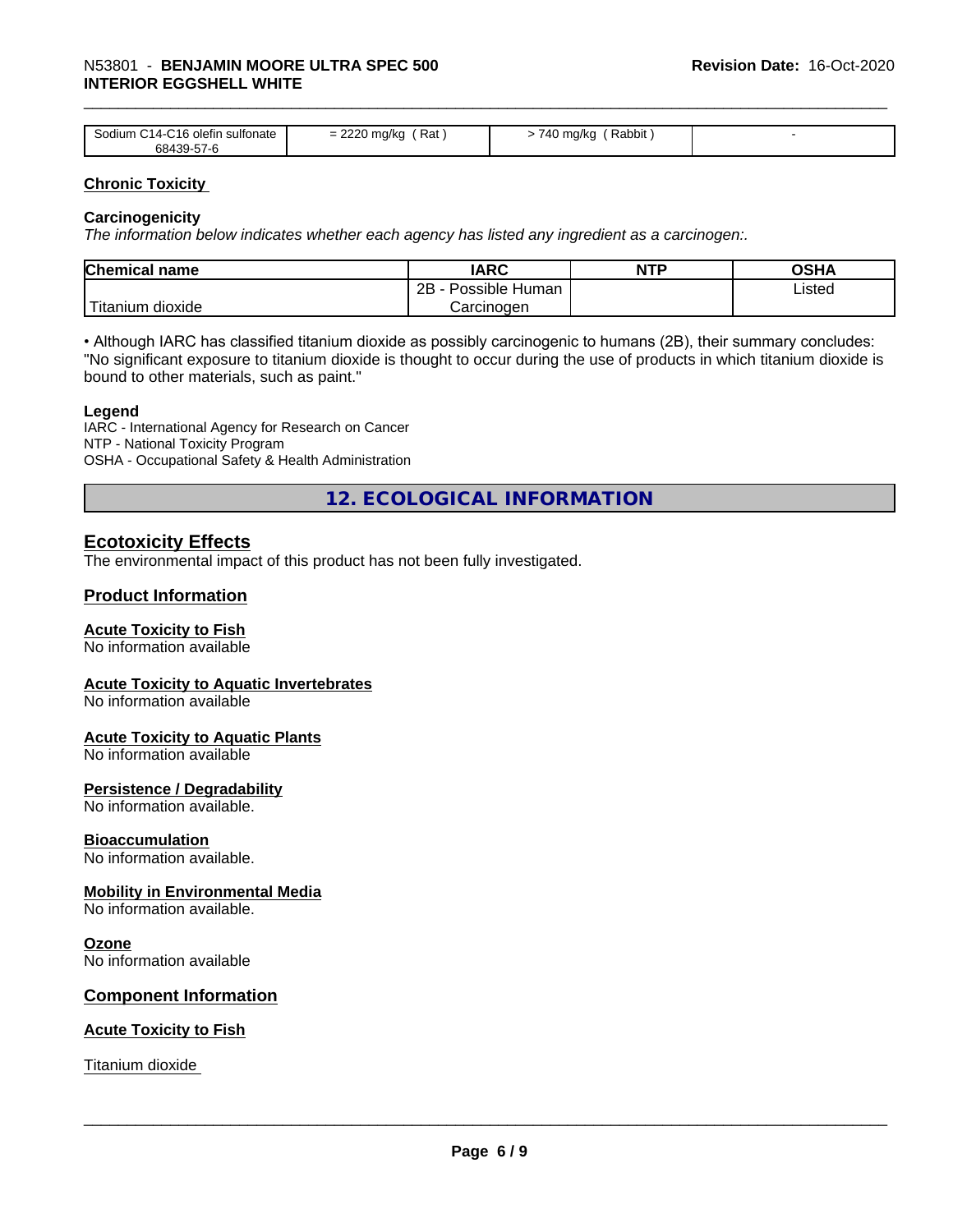# \_\_\_\_\_\_\_\_\_\_\_\_\_\_\_\_\_\_\_\_\_\_\_\_\_\_\_\_\_\_\_\_\_\_\_\_\_\_\_\_\_\_\_\_\_\_\_\_\_\_\_\_\_\_\_\_\_\_\_\_\_\_\_\_\_\_\_\_\_\_\_\_\_\_\_\_\_\_\_\_\_\_\_\_\_\_\_\_\_\_\_\_\_ N53801 - **BENJAMIN MOORE ULTRA SPEC <sup>500</sup> INTERIOR EGGSHELL WHITE**

| Sodium C14-C16 olefin s<br>sulfonate<br>68439-57-6 | Rat<br>0000<br>, ma/ka | 740 ma/ka<br>Rabbit |  |
|----------------------------------------------------|------------------------|---------------------|--|

#### **Chronic Toxicity**

#### **Carcinogenicity**

*The information below indicateswhether each agency has listed any ingredient as a carcinogen:.*

| Chemical<br>name          | <b>IARC</b>                               | NTP | $\sim$ $\sim$<br>אחטט |
|---------------------------|-------------------------------------------|-----|-----------------------|
|                           | .<br>クロ<br>Human<br>Possible<br><u>__</u> |     | Listed                |
| dioxide<br><b>itanium</b> | Carcinoɑen                                |     |                       |

• Although IARC has classified titanium dioxide as possibly carcinogenic to humans (2B), their summary concludes: "No significant exposure to titanium dioxide is thought to occur during the use of products in which titanium dioxide is bound to other materials, such as paint."

#### **Legend**

IARC - International Agency for Research on Cancer NTP - National Toxicity Program OSHA - Occupational Safety & Health Administration

**12. ECOLOGICAL INFORMATION**

#### **Ecotoxicity Effects**

The environmental impact of this product has not been fully investigated.

#### **Product Information**

#### **Acute Toxicity to Fish**

No information available

#### **Acute Toxicity to Aquatic Invertebrates**

No information available

#### **Acute Toxicity to Aquatic Plants**

No information available

#### **Persistence / Degradability**

No information available.

#### **Bioaccumulation**

No information available.

#### **Mobility in Environmental Media**

No information available.

#### **Ozone**

No information available

#### **Component Information**

#### **Acute Toxicity to Fish**

Titanium dioxide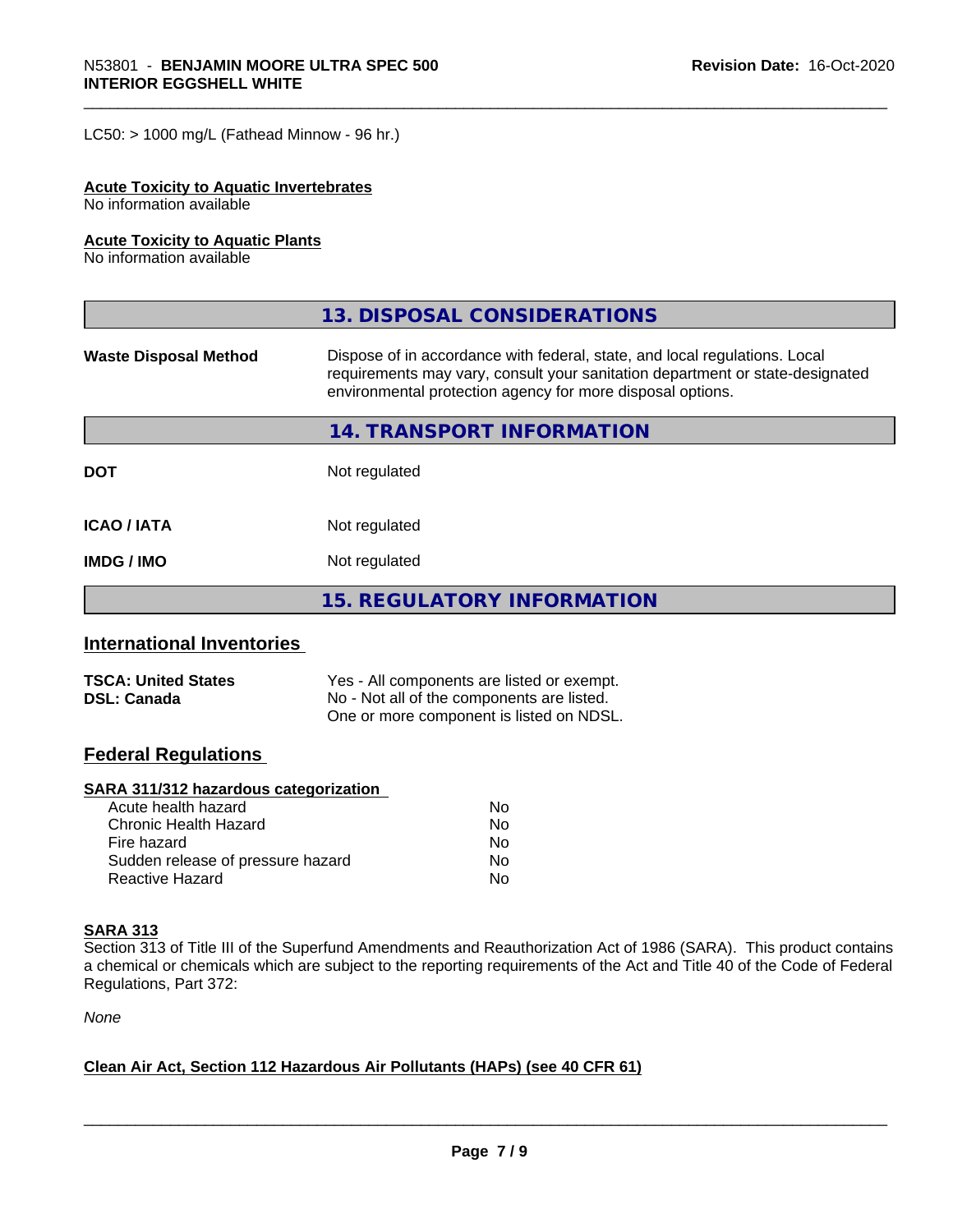$LC50:$  > 1000 mg/L (Fathead Minnow - 96 hr.)

#### **Acute Toxicity to Aquatic Invertebrates**

No information available

#### **Acute Toxicity to Aquatic Plants**

No information available

|                              | 13. DISPOSAL CONSIDERATIONS                                                                                                                                                                                               |
|------------------------------|---------------------------------------------------------------------------------------------------------------------------------------------------------------------------------------------------------------------------|
| <b>Waste Disposal Method</b> | Dispose of in accordance with federal, state, and local regulations. Local<br>requirements may vary, consult your sanitation department or state-designated<br>environmental protection agency for more disposal options. |
|                              | 14. TRANSPORT INFORMATION                                                                                                                                                                                                 |
| <b>DOT</b>                   | Not regulated                                                                                                                                                                                                             |
| <b>ICAO/IATA</b>             | Not regulated                                                                                                                                                                                                             |
| <b>IMDG/IMO</b>              | Not regulated                                                                                                                                                                                                             |
|                              | 15. REGULATORY INFORMATION                                                                                                                                                                                                |

### **International Inventories**

| <b>TSCA: United States</b> | Yes - All components are listed or exempt. |
|----------------------------|--------------------------------------------|
| <b>DSL: Canada</b>         | No - Not all of the components are listed. |
|                            | One or more component is listed on NDSL.   |

### **Federal Regulations**

#### **SARA 311/312 hazardous categorization**

| Acute health hazard               | Nο |  |
|-----------------------------------|----|--|
| Chronic Health Hazard             | Nο |  |
| Fire hazard                       | Nο |  |
| Sudden release of pressure hazard | Nο |  |
| Reactive Hazard                   | Nο |  |

#### **SARA 313**

Section 313 of Title III of the Superfund Amendments and Reauthorization Act of 1986 (SARA). This product contains a chemical or chemicals which are subject to the reporting requirements of the Act and Title 40 of the Code of Federal Regulations, Part 372:

*None*

#### **Clean Air Act,Section 112 Hazardous Air Pollutants (HAPs) (see 40 CFR 61)**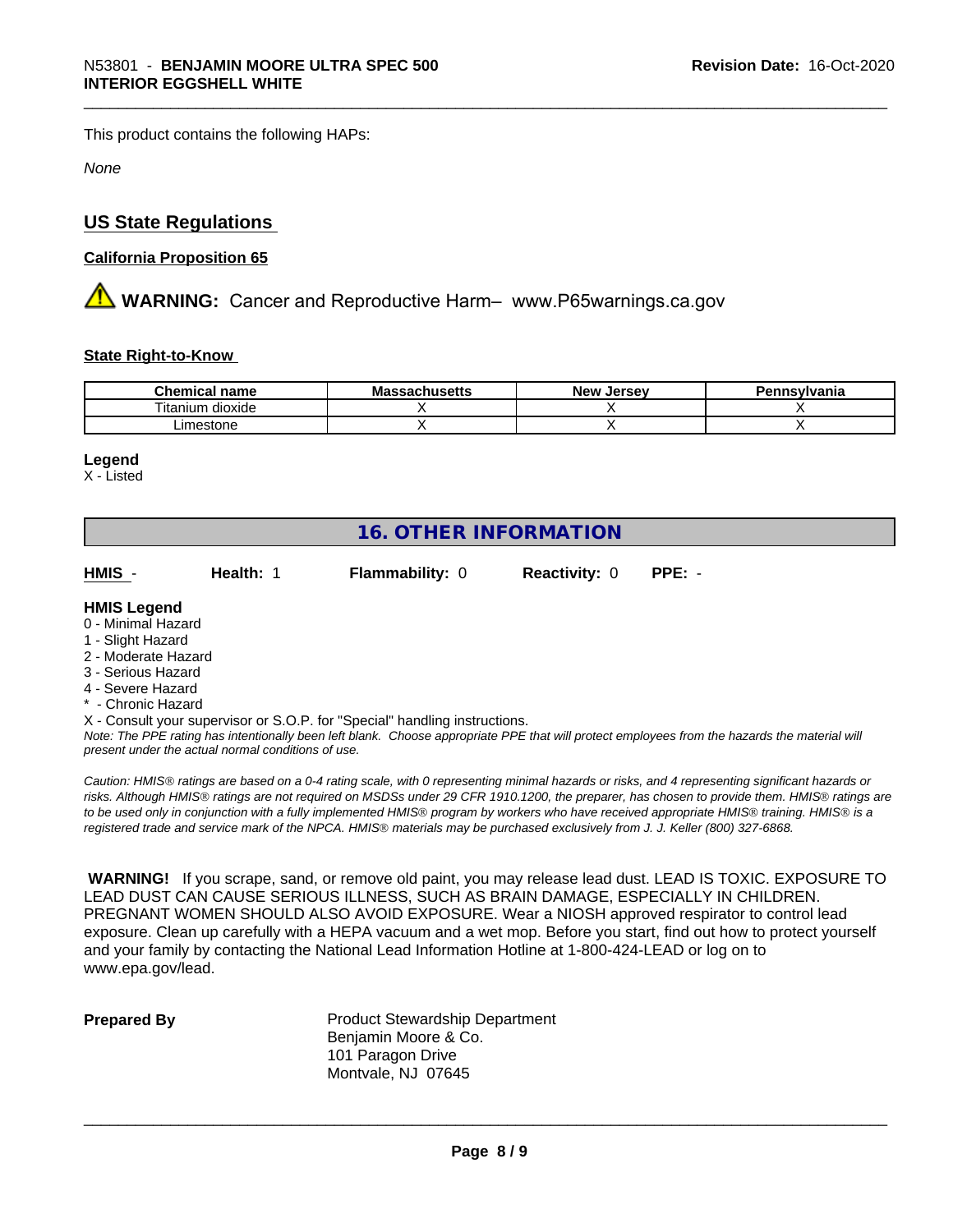This product contains the following HAPs:

*None*

# **US State Regulations**

#### **California Proposition 65**

**AN** WARNING: Cancer and Reproductive Harm– www.P65warnings.ca.gov

#### **State Right-to-Know**

| name<br>ner.                | Mk<br>nuscus | larcay<br>Ne۱<br>JEI SE | svivania |
|-----------------------------|--------------|-------------------------|----------|
| --<br>dioxide<br>l itanium. |              |                         |          |
| .imestone                   |              |                         |          |

#### **Legend**

X - Listed

# **16. OTHER INFORMATION**

| HMIS<br>Health: 1 | <b>Flammability: 0</b> | <b>Reactivity: 0 PPE: -</b> |
|-------------------|------------------------|-----------------------------|
|-------------------|------------------------|-----------------------------|

#### **HMIS Legend**

- 0 Minimal Hazard
- 1 Slight Hazard
- 2 Moderate Hazard
- 3 Serious Hazard
- 4 Severe Hazard
- \* Chronic Hazard

X - Consult your supervisor or S.O.P. for "Special" handling instructions.

*Note: The PPE rating has intentionally been left blank. Choose appropriate PPE that will protect employees from the hazards the material will present under the actual normal conditions of use.*

*Caution: HMISÒ ratings are based on a 0-4 rating scale, with 0 representing minimal hazards or risks, and 4 representing significant hazards or risks. Although HMISÒ ratings are not required on MSDSs under 29 CFR 1910.1200, the preparer, has chosen to provide them. HMISÒ ratings are to be used only in conjunction with a fully implemented HMISÒ program by workers who have received appropriate HMISÒ training. HMISÒ is a registered trade and service mark of the NPCA. HMISÒ materials may be purchased exclusively from J. J. Keller (800) 327-6868.*

 **WARNING!** If you scrape, sand, or remove old paint, you may release lead dust. LEAD IS TOXIC. EXPOSURE TO LEAD DUST CAN CAUSE SERIOUS ILLNESS, SUCH AS BRAIN DAMAGE, ESPECIALLY IN CHILDREN. PREGNANT WOMEN SHOULD ALSO AVOID EXPOSURE.Wear a NIOSH approved respirator to control lead exposure. Clean up carefully with a HEPA vacuum and a wet mop. Before you start, find out how to protect yourself and your family by contacting the National Lead Information Hotline at 1-800-424-LEAD or log on to www.epa.gov/lead.

**Prepared By** Product Stewardship Department Benjamin Moore & Co. 101 Paragon Drive Montvale, NJ 07645